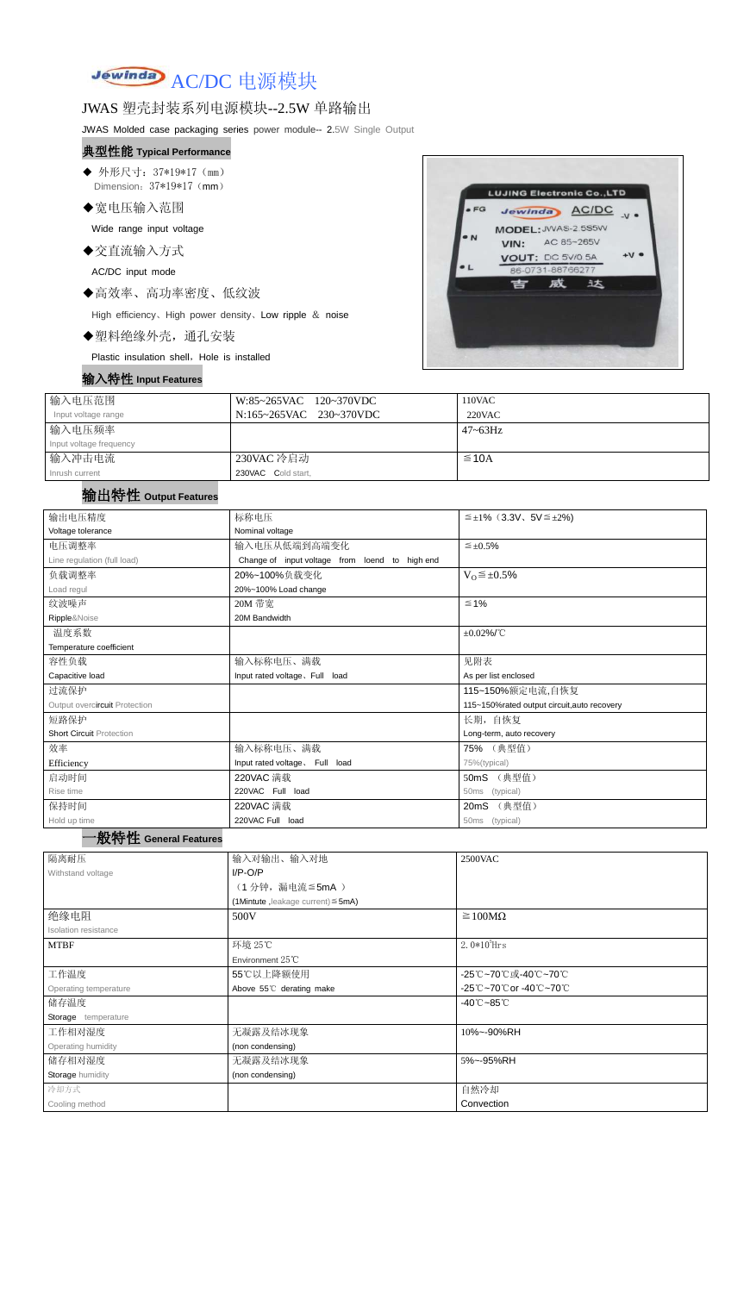# Jewinda AC/DC 电源模块

### JWAS 塑壳封装系列电源模块--2.5W 单路输出

JWAS Molded case packaging series power module-- 2.5W Single Output

- ◆ 外形尺寸: 37\*19\*17 (mm) Dimension:  $37*19*17$  (mm)
- ◆宽电压输入范围

#### 典型性能 **Typical Performance**

Wide range input voltage

◆交直流输入方式

AC/DC input mode

◆高效率、高功率密度、低纹波

High efficiency、High power density、Low ripple & noise

◆塑料绝缘外壳,通孔安装

Plastic insulation shell, Hole is installed

#### 输入特性 **Input Features**



| 输入电压范围                  | W:85~265VAC 120~370VDC  | 110VAC       |
|-------------------------|-------------------------|--------------|
| Input voltage range     | N:165~265VAC 230~370VDC | 220VAC       |
| 输入电压频率                  |                         | $47 - 63$ Hz |
| Input voltage frequency |                         |              |
| 输入冲击电流                  | 230VAC 冷启动              | $\leq$ 10A   |
| Inrush current          | 230VAC Cold start,      |              |

#### 输出特性 **Output Features**

#### 一般特性 **General Features**

| 输出电压精度                          | 标称电压                                           | $\leq \pm 1\%$ (3.3V, 5V $\leq \pm 2\%$ )   |  |  |
|---------------------------------|------------------------------------------------|---------------------------------------------|--|--|
| Voltage tolerance               | Nominal voltage                                |                                             |  |  |
| 电压调整率                           | 输入电压从低端到高端变化                                   | $\leq \pm 0.5\%$                            |  |  |
| Line regulation (full load)     | Change of input voltage from loend to high end |                                             |  |  |
| 负载调整率                           | 20%~100%负载变化                                   | $V_0 \leq \pm 0.5\%$                        |  |  |
| Load regul                      | 20%~100% Load change                           |                                             |  |  |
| 纹波噪声                            | 20M 带宽                                         | $\leq 1\%$                                  |  |  |
| Ripple&Noise                    | 20M Bandwidth                                  |                                             |  |  |
| 温度系数                            |                                                | $\pm 0.02\%$ /°C                            |  |  |
| Temperature coefficient         |                                                |                                             |  |  |
| 容性负载                            | 输入标称电压、满载                                      | 见附表                                         |  |  |
| Capacitive load                 | Input rated voltage, Full load                 | As per list enclosed                        |  |  |
| 过流保护                            |                                                | 115~150%额定电流,自恢复                            |  |  |
| Output overcircuit Protection   |                                                | 115~150%rated output circuit, auto recovery |  |  |
| 短路保护                            |                                                | 长期, 自恢复                                     |  |  |
| <b>Short Circuit Protection</b> |                                                | Long-term, auto recovery                    |  |  |
| 效率                              | 输入标称电压、满载                                      | 75% (典型值)                                   |  |  |
| Efficiency                      | Input rated voltage. Full load                 | 75%(typical)                                |  |  |
| 启动时间                            | 220VAC 满载                                      | (典型值)<br>50mS                               |  |  |
| Rise time                       | 220VAC Full load                               | (typical)<br>50ms                           |  |  |
| 保持时间                            | 220VAC 满载                                      | (典型值)<br>20 <sub>m</sub> S                  |  |  |
| Hold up time                    | 220VAC Full load                               | (typical)<br>50ms                           |  |  |

| 隔离耐压                  | 输入对输出、输入对地                              | 2500VAC                         |  |
|-----------------------|-----------------------------------------|---------------------------------|--|
| Withstand voltage     | $I/P-O/P$                               |                                 |  |
|                       | (1分钟,漏电流≦5mA)                           |                                 |  |
|                       | (1Mintute, leakage current) $\leq$ 5mA) |                                 |  |
| 绝缘电阻                  | 500V                                    | $\geq 100M\Omega$               |  |
| Isolation resistance  |                                         |                                 |  |
| <b>MTBF</b>           | 环境 25℃                                  | 2.0 $*10^5$ Hrs                 |  |
|                       | Environment $25^{\circ}$ C              |                                 |  |
| 工作温度                  | 55℃以上降额使用                               | -25℃~70℃或-40℃~70℃               |  |
| Operating temperature | Above 55°C derating make                | -25℃~70℃or -40℃~70℃             |  |
| 储存温度                  |                                         | $-40^{\circ}$ C $-85^{\circ}$ C |  |
| Storage temperature   |                                         |                                 |  |
| 工作相对湿度                | 无凝露及结冰现象<br>10%~-90%RH                  |                                 |  |
| Operating humidity    | (non condensing)                        |                                 |  |
| 储存相对湿度                | 无凝露及结冰现象                                | 5%~-95%RH                       |  |
| Storage humidity      | (non condensing)                        |                                 |  |
| 冷却方式                  |                                         | 自然冷却                            |  |
| Cooling method        |                                         | Convection                      |  |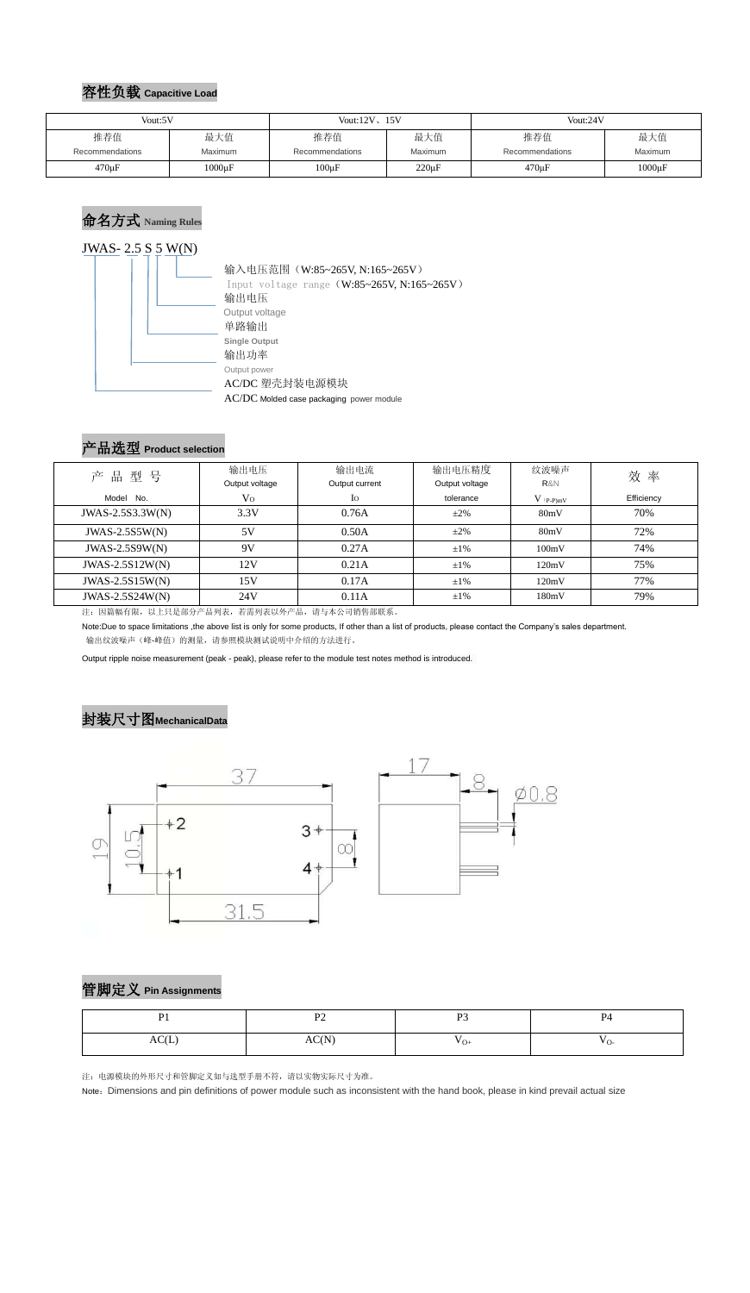#### 容性负载 **Capacitive Load**

## 命名方式 **Naming Rules**



## 产品选型 **Product selection**

| 品型号<br>产          | 输出电压           | 输出电流           | 输出电压精度         | 纹波噪声          | 效率         |  |
|-------------------|----------------|----------------|----------------|---------------|------------|--|
|                   | Output voltage | Output current | Output voltage | R&N           |            |  |
| Model No.         | V <sub>O</sub> | Io             | tolerance      | $V_{(P-P)mV}$ | Efficiency |  |
| JWAS-2.5S3.3W(N)  | 3.3V           | 0.76A          | $\pm 2\%$      | 80mV          | 70%        |  |
| $JWAS-2.5S5W(N)$  | 5V             | 0.50A          | $\pm 2\%$      | 80mV          | 72%        |  |
| $JWAS-2.5S9W(N)$  | 9V             | 0.27A          | $\pm 1\%$      | 100mV         | 74%        |  |
| $JWAS-2.5S12W(N)$ | 12V            | 0.21A          | $\pm 1\%$      | 120mV         | 75%        |  |
| $JWAS-2.5S15W(N)$ | 15V            | 0.17A          | $\pm 1\%$      | 120mV         | 77%        |  |
| $JWAS-2.5S24W(N)$ | 24V            | 0.11A          | $\pm 1\%$      | 180mV         | 79%        |  |

注:因篇幅有限,以上只是部分产品列表,若需列表以外产品,请与本公司销售部联系。

Note:Due to space limitations ,the above list is only for some products, If other than a list of products, please contact the Company's sales department. 输出纹波噪声(峰-峰值)的测量,请参照模块测试说明中介绍的方法进行。

Output ripple noise measurement (peak - peak), please refer to the module test notes method is introduced.

#### 封装尺寸图**MechanicalData**



管脚定义 **Pin Assignments**

注:电源模块的外形尺寸和管脚定义如与选型手册不符,请以实物实际尺寸为准。

Note: Dimensions and pin definitions of power module such as inconsistent with the hand book, please in kind prevail actual size

| Vout:5V                |                       | Vout: $12V$ , $15V$    |                | Vout:24V               |                |
|------------------------|-----------------------|------------------------|----------------|------------------------|----------------|
| 推荐值<br>Recommendations | 最大值<br><b>Maximum</b> | 推荐值<br>Recommendations | 最大值<br>Maximum | 推荐值<br>Recommendations | 最大值<br>Maximum |
|                        |                       |                        |                |                        |                |
| $470 \mu F$            | $1000 \mu F$          | $100 \mu F$            | $220 \mu F$    | $470 \mu F$            | $1000\mu F$    |

| D <sub>1</sub> | $\mathbf{D}$   | $\mathbf{D}$               | P <sub>4</sub>  |
|----------------|----------------|----------------------------|-----------------|
| $\sim$ $\sim$  | $\overline{1}$ | $\overline{1}$             |                 |
| AC(L)          | C(N)<br>AU(1)  | $\mathbf{v}_{\mathrm{O+}}$ | $V_{\text{O}-}$ |